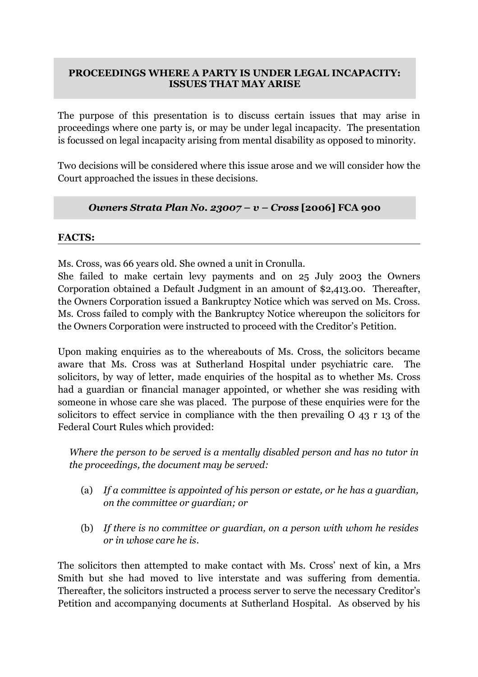## **PROCEEDINGS WHERE A PARTY IS UNDER LEGAL INCAPACITY: ISSUES THAT MAY ARISE**

The purpose of this presentation is to discuss certain issues that may arise in proceedings where one party is, or may be under legal incapacity. The presentation is focussed on legal incapacity arising from mental disability as opposed to minority.

Two decisions will be considered where this issue arose and we will consider how the Court approached the issues in these decisions.

# *Owners Strata Plan No. 23007 – v – Cross* **[2006] FCA 900**

### **FACTS:**

Ms. Cross, was 66 years old. She owned a unit in Cronulla.

She failed to make certain levy payments and on 25 July 2003 the Owners Corporation obtained a Default Judgment in an amount of \$2,413.00. Thereafter, the Owners Corporation issued a Bankruptcy Notice which was served on Ms. Cross. Ms. Cross failed to comply with the Bankruptcy Notice whereupon the solicitors for the Owners Corporation were instructed to proceed with the Creditor's Petition.

Upon making enquiries as to the whereabouts of Ms. Cross, the solicitors became aware that Ms. Cross was at Sutherland Hospital under psychiatric care. The solicitors, by way of letter, made enquiries of the hospital as to whether Ms. Cross had a guardian or financial manager appointed, or whether she was residing with someone in whose care she was placed. The purpose of these enquiries were for the solicitors to effect service in compliance with the then prevailing O 43 r 13 of the Federal Court Rules which provided:

*Where the person to be served is a mentally disabled person and has no tutor in the proceedings, the document may be served:*

- (a) *If a committee is appointed of his person or estate, or he has a guardian, on the committee or guardian; or*
- (b) *If there is no committee or guardian, on a person with whom he resides or in whose care he is*.

The solicitors then attempted to make contact with Ms. Cross' next of kin, a Mrs Smith but she had moved to live interstate and was suffering from dementia. Thereafter, the solicitors instructed a process server to serve the necessary Creditor's Petition and accompanying documents at Sutherland Hospital. As observed by his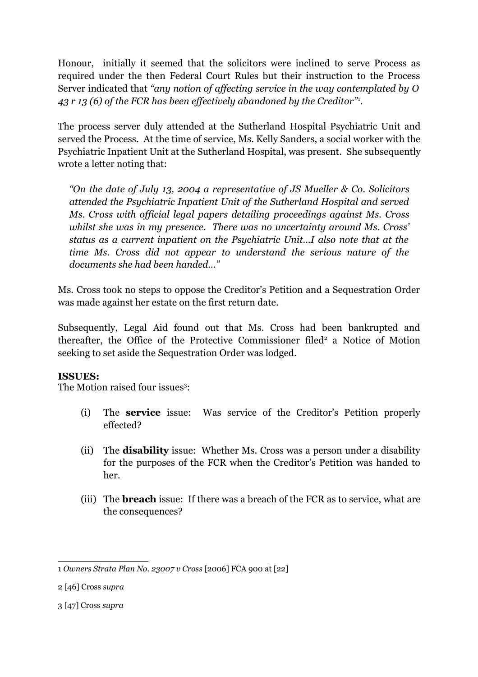Honour, initially it seemed that the solicitors were inclined to serve Process as required under the then Federal Court Rules but their instruction to the Process Server indicated that *"any notion of affecting service in the way contemplated by O 43 r 13 (6) of the FCR has been effectively abandoned by the Creditor"*[1](#page-1-0) *.*

The process server duly attended at the Sutherland Hospital Psychiatric Unit and served the Process. At the time of service, Ms. Kelly Sanders, a social worker with the Psychiatric Inpatient Unit at the Sutherland Hospital, was present. She subsequently wrote a letter noting that:

*"On the date of July 13, 2004 a representative of JS Mueller & Co. Solicitors attended the Psychiatric Inpatient Unit of the Sutherland Hospital and served Ms. Cross with official legal papers detailing proceedings against Ms. Cross whilst she was in my presence. There was no uncertainty around Ms. Cross' status as a current inpatient on the Psychiatric Unit…I also note that at the time Ms. Cross did not appear to understand the serious nature of the documents she had been handed…"*

Ms. Cross took no steps to oppose the Creditor's Petition and a Sequestration Order was made against her estate on the first return date.

Subsequently, Legal Aid found out that Ms. Cross had been bankrupted and thereafter, the Office of the Protective Commissioner filed<sup>[2](#page-1-1)</sup> a Notice of Motion seeking to set aside the Sequestration Order was lodged.

### **ISSUES:**

The Motion raised four issues<sup>[3](#page-1-2)</sup>:

- (i) The **service** issue: Was service of the Creditor's Petition properly effected?
- (ii) The **disability** issue: Whether Ms. Cross was a person under a disability for the purposes of the FCR when the Creditor's Petition was handed to her.
- (iii) The **breach** issue: If there was a breach of the FCR as to service, what are the consequences?

<span id="page-1-2"></span>3 [47] Cross *supra*

<span id="page-1-0"></span><sup>1</sup> *Owners Strata Plan No. 23007 v Cross* [2006] FCA 900 at [22]

<span id="page-1-1"></span><sup>2 [46]</sup> Cross *supra*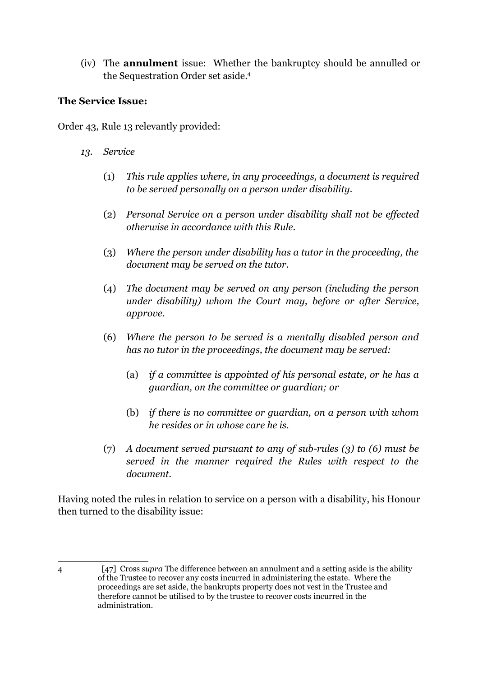(iv) The **annulment** issue: Whether the bankruptcy should be annulled or the Sequestration Order set aside.[4](#page-2-0)

## **The Service Issue:**

Order 43, Rule 13 relevantly provided:

- *13. Service* 
	- (1) *This rule applies where, in any proceedings, a document is required to be served personally on a person under disability.*
	- (2) *Personal Service on a person under disability shall not be effected otherwise in accordance with this Rule.*
	- (3) *Where the person under disability has a tutor in the proceeding, the document may be served on the tutor.*
	- (4) *The document may be served on any person (including the person under disability) whom the Court may, before or after Service, approve.*
	- (6) *Where the person to be served is a mentally disabled person and has no tutor in the proceedings, the document may be served:*
		- (a) *if a committee is appointed of his personal estate, or he has a guardian, on the committee or guardian; or*
		- (b) *if there is no committee or guardian, on a person with whom he resides or in whose care he is.*
	- (7) *A document served pursuant to any of sub-rules (3) to (6) must be served in the manner required the Rules with respect to the document.*

Having noted the rules in relation to service on a person with a disability, his Honour then turned to the disability issue:

<span id="page-2-0"></span>

<sup>4 [47]</sup> Cross *supra* The difference between an annulment and a setting aside is the ability of the Trustee to recover any costs incurred in administering the estate. Where the proceedings are set aside, the bankrupts property does not vest in the Trustee and therefore cannot be utilised to by the trustee to recover costs incurred in the administration.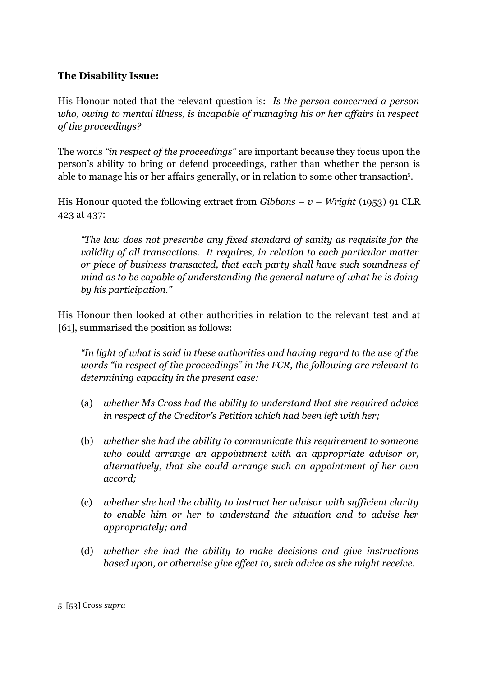## **The Disability Issue:**

His Honour noted that the relevant question is: *Is the person concerned a person who, owing to mental illness, is incapable of managing his or her affairs in respect of the proceedings?*

The words *"in respect of the proceedings"* are important because they focus upon the person's ability to bring or defend proceedings, rather than whether the person is able to manage his or her affairs generally, or in relation to some other transaction<sup>[5](#page-3-0)</sup>.

His Honour quoted the following extract from *Gibbons – v – Wright* (1953) 91 CLR 423 at 437:

*"The law does not prescribe any fixed standard of sanity as requisite for the validity of all transactions. It requires, in relation to each particular matter or piece of business transacted, that each party shall have such soundness of mind as to be capable of understanding the general nature of what he is doing by his participation."*

His Honour then looked at other authorities in relation to the relevant test and at [61], summarised the position as follows:

*"In light of what is said in these authorities and having regard to the use of the words "in respect of the proceedings" in the FCR, the following are relevant to determining capacity in the present case:*

- (a) *whether Ms Cross had the ability to understand that she required advice in respect of the Creditor's Petition which had been left with her;*
- (b) *whether she had the ability to communicate this requirement to someone who could arrange an appointment with an appropriate advisor or, alternatively, that she could arrange such an appointment of her own accord;*
- (c) *whether she had the ability to instruct her advisor with sufficient clarity to enable him or her to understand the situation and to advise her appropriately; and*
- (d) *whether she had the ability to make decisions and give instructions based upon, or otherwise give effect to, such advice as she might receive.*

<span id="page-3-0"></span><sup>5 [53]</sup> Cross *supra*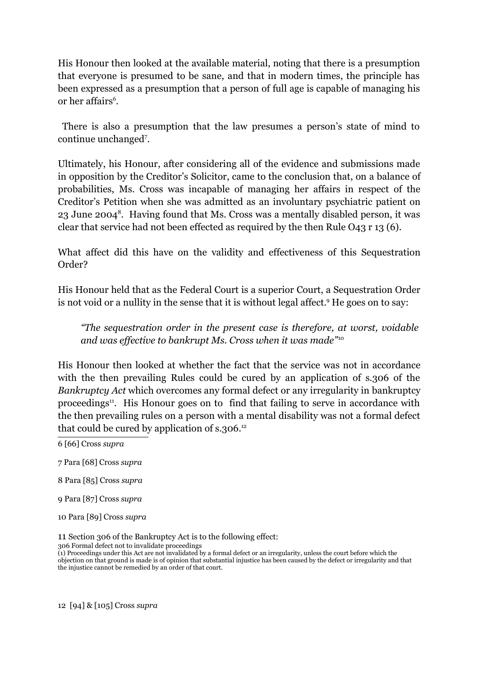His Honour then looked at the available material, noting that there is a presumption that everyone is presumed to be sane, and that in modern times, the principle has been expressed as a presumption that a person of full age is capable of managing his or her affairs<sup>[6](#page-4-0)</sup>.

 There is also a presumption that the law presumes a person's state of mind to continue unchanged[7](#page-4-1) .

Ultimately, his Honour, after considering all of the evidence and submissions made in opposition by the Creditor's Solicitor, came to the conclusion that, on a balance of probabilities, Ms. Cross was incapable of managing her affairs in respect of the Creditor's Petition when she was admitted as an involuntary psychiatric patient on 23 June 2004<sup>[8](#page-4-2)</sup>. Having found that Ms. Cross was a mentally disabled person, it was clear that service had not been effected as required by the then Rule O43 r 13 (6).

What affect did this have on the validity and effectiveness of this Sequestration Order?

His Honour held that as the Federal Court is a superior Court, a Sequestration Order is not void or a nullity in the sense that it is without legal affect.<sup>[9](#page-4-3)</sup> He goes on to say:

*"The sequestration order in the present case is therefore, at worst, voidable and was effective to bankrupt Ms. Cross when it was made"*[10](#page-4-4)

His Honour then looked at whether the fact that the service was not in accordance with the then prevailing Rules could be cured by an application of s.306 of the *Bankruptcy Act* which overcomes any formal defect or any irregularity in bankruptcy proceedings<sup>[11](#page-4-5)</sup>. His Honour goes on to find that failing to serve in accordance with the then prevailing rules on a person with a mental disability was not a formal defect that could be cured by application of  $s$ .306.<sup>[12](#page-4-6)</sup>

- <span id="page-4-0"></span>6 [66] Cross *supra*
- <span id="page-4-1"></span>7 Para [68] Cross *supra*
- <span id="page-4-2"></span>8 Para [85] Cross *supra*
- <span id="page-4-3"></span>9 Para [87] Cross *supra*
- <span id="page-4-4"></span>10 Para [89] Cross *supra*

<span id="page-4-5"></span>11 Section 306 of the Bankruptcy Act is to the following effect:

306 Formal defect not to invalidate proceedings

(1) Proceedings under this Act are not invalidated by a formal defect or an irregularity, unless the court before which the objection on that ground is made is of opinion that substantial injustice has been caused by the defect or irregularity and that the injustice cannot be remedied by an order of that court.

<span id="page-4-6"></span>12 [94] & [105] Cross *supra*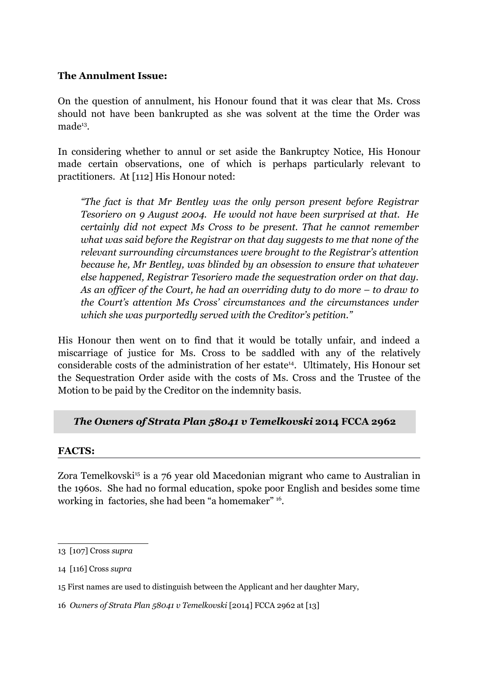#### **The Annulment Issue:**

On the question of annulment, his Honour found that it was clear that Ms. Cross should not have been bankrupted as she was solvent at the time the Order was made<sup>[13](#page-5-0)</sup>.

In considering whether to annul or set aside the Bankruptcy Notice, His Honour made certain observations, one of which is perhaps particularly relevant to practitioners. At [112] His Honour noted:

*"The fact is that Mr Bentley was the only person present before Registrar Tesoriero on 9 August 2004. He would not have been surprised at that. He certainly did not expect Ms Cross to be present. That he cannot remember what was said before the Registrar on that day suggests to me that none of the relevant surrounding circumstances were brought to the Registrar's attention because he, Mr Bentley, was blinded by an obsession to ensure that whatever else happened, Registrar Tesoriero made the sequestration order on that day. As an officer of the Court, he had an overriding duty to do more – to draw to the Court's attention Ms Cross' circumstances and the circumstances under which she was purportedly served with the Creditor's petition."*

His Honour then went on to find that it would be totally unfair, and indeed a miscarriage of justice for Ms. Cross to be saddled with any of the relatively considerable costs of the administration of her estate<sup>[14](#page-5-1)</sup>. Ultimately, His Honour set the Sequestration Order aside with the costs of Ms. Cross and the Trustee of the Motion to be paid by the Creditor on the indemnity basis.

### *The Owners of Strata Plan 58041 v Temelkovski* **2014 FCCA 2962**

#### **FACTS:**

Zora Temelkovski<sup>[15](#page-5-2)</sup> is a 76 year old Macedonian migrant who came to Australian in the 1960s. She had no formal education, spoke poor English and besides some time working in factories, she had been "a homemaker" <sup>[16](#page-5-3)</sup>.

<span id="page-5-0"></span><sup>13 [107]</sup> Cross *supra*

<span id="page-5-1"></span><sup>14 [116]</sup> Cross *supra*

<span id="page-5-2"></span><sup>15</sup> First names are used to distinguish between the Applicant and her daughter Mary,

<span id="page-5-3"></span><sup>16</sup> *Owners of Strata Plan 58041 v Temelkovski* [2014] FCCA 2962 at [13]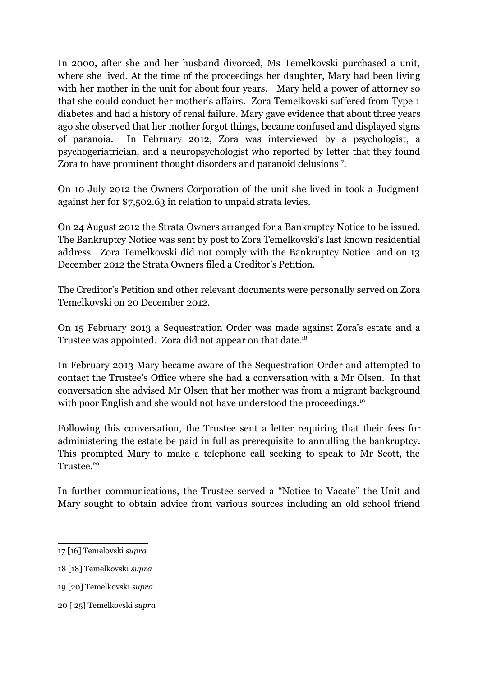In 2000, after she and her husband divorced, Ms Temelkovski purchased a unit, where she lived. At the time of the proceedings her daughter, Mary had been living with her mother in the unit for about four years. Mary held a power of attorney so that she could conduct her mother's affairs. Zora Temelkovski suffered from Type 1 diabetes and had a history of renal failure. Mary gave evidence that about three years ago she observed that her mother forgot things, became confused and displayed signs of paranoia. In February 2012, Zora was interviewed by a psychologist, a psychogeriatrician, and a neuropsychologist who reported by letter that they found Zora to have prominent thought disorders and paranoid delusions<sup>[17](#page-6-0)</sup>.

On 10 July 2012 the Owners Corporation of the unit she lived in took a Judgment against her for \$7,502.63 in relation to unpaid strata levies.

On 24 August 2012 the Strata Owners arranged for a Bankruptcy Notice to be issued. The Bankruptcy Notice was sent by post to Zora Temelkovski's last known residential address. Zora Temelkovski did not comply with the Bankruptcy Notice and on 13 December 2012 the Strata Owners filed a Creditor's Petition.

The Creditor's Petition and other relevant documents were personally served on Zora Temelkovski on 20 December 2012.

On 15 February 2013 a Sequestration Order was made against Zora's estate and a Trustee was appointed. Zora did not appear on that date.<sup>[18](#page-6-1)</sup>

In February 2013 Mary became aware of the Sequestration Order and attempted to contact the Trustee's Office where she had a conversation with a Mr Olsen. In that conversation she advised Mr Olsen that her mother was from a migrant background with poor English and she would not have understood the proceedings.<sup>[19](#page-6-2)</sup>

Following this conversation, the Trustee sent a letter requiring that their fees for administering the estate be paid in full as prerequisite to annulling the bankruptcy. This prompted Mary to make a telephone call seeking to speak to Mr Scott, the Trustee.<sup>[20](#page-6-3)</sup>

In further communications, the Trustee served a "Notice to Vacate" the Unit and Mary sought to obtain advice from various sources including an old school friend

<span id="page-6-3"></span>20 [ 25] Temelkovski *supra*

<span id="page-6-0"></span><sup>17 [16]</sup> Temelovski *supra*

<span id="page-6-1"></span><sup>18 [18]</sup> Temelkovski *supra*

<span id="page-6-2"></span><sup>19 [20]</sup> Temelkovski *supra*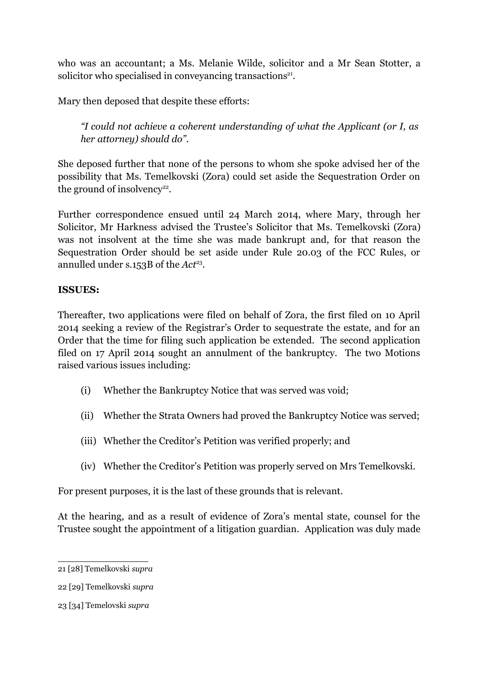who was an accountant; a Ms. Melanie Wilde, solicitor and a Mr Sean Stotter, a solicitor who specialised in conveyancing transactions<sup>[21](#page-7-0)</sup>.

Mary then deposed that despite these efforts:

*"I could not achieve a coherent understanding of what the Applicant (or I, as her attorney) should do".*

She deposed further that none of the persons to whom she spoke advised her of the possibility that Ms. Temelkovski (Zora) could set aside the Sequestration Order on the ground of insolvency<sup>[22](#page-7-1)</sup>.

Further correspondence ensued until 24 March 2014, where Mary, through her Solicitor, Mr Harkness advised the Trustee's Solicitor that Ms. Temelkovski (Zora) was not insolvent at the time she was made bankrupt and, for that reason the Sequestration Order should be set aside under Rule 20.03 of the FCC Rules, or annulled under s.153B of the *Act*<sup>[23](#page-7-2)</sup>.

## **ISSUES:**

Thereafter, two applications were filed on behalf of Zora, the first filed on 10 April 2014 seeking a review of the Registrar's Order to sequestrate the estate, and for an Order that the time for filing such application be extended. The second application filed on 17 April 2014 sought an annulment of the bankruptcy. The two Motions raised various issues including:

- (i) Whether the Bankruptcy Notice that was served was void;
- (ii) Whether the Strata Owners had proved the Bankruptcy Notice was served;
- (iii) Whether the Creditor's Petition was verified properly; and
- (iv) Whether the Creditor's Petition was properly served on Mrs Temelkovski.

For present purposes, it is the last of these grounds that is relevant.

At the hearing, and as a result of evidence of Zora's mental state, counsel for the Trustee sought the appointment of a litigation guardian. Application was duly made

<span id="page-7-0"></span><sup>21 [28]</sup> Temelkovski *supra* 

<span id="page-7-1"></span><sup>22 [29]</sup> Temelkovski *supra* 

<span id="page-7-2"></span><sup>23 [34]</sup> Temelovski *supra*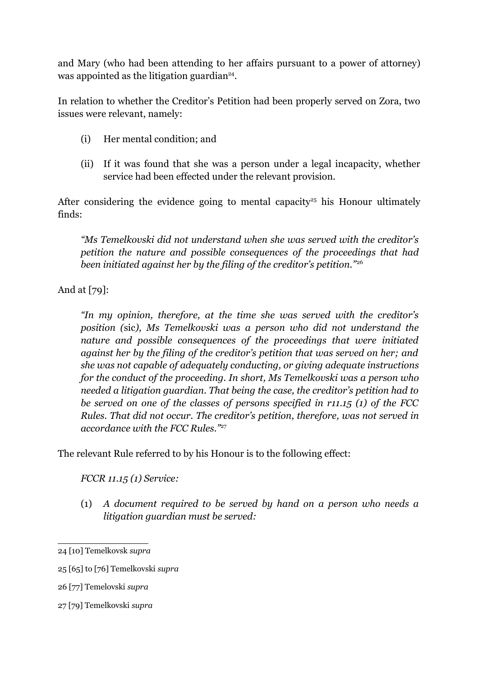and Mary (who had been attending to her affairs pursuant to a power of attorney) was appointed as the litigation guardian<sup>[24](#page-8-0)</sup>.

In relation to whether the Creditor's Petition had been properly served on Zora, two issues were relevant, namely:

- (i) Her mental condition; and
- (ii) If it was found that she was a person under a legal incapacity, whether service had been effected under the relevant provision.

After considering the evidence going to mental capacity<sup>[25](#page-8-1)</sup> his Honour ultimately finds:

*"Ms Temelkovski did not understand when she was served with the creditor's petition the nature and possible consequences of the proceedings that had been initiated against her by the filing of the creditor's petition."*[26](#page-8-2)

And at [79]:

*"In my opinion, therefore, at the time she was served with the creditor's position (*sic*), Ms Temelkovski was a person who did not understand the nature and possible consequences of the proceedings that were initiated against her by the filing of the creditor's petition that was served on her; and she was not capable of adequately conducting, or giving adequate instructions for the conduct of the proceeding. In short, Ms Temelkovski was a person who needed a litigation guardian. That being the case, the creditor's petition had to be served on one of the classes of persons specified in r11.15 (1) of the FCC Rules. That did not occur. The creditor's petition, therefore, was not served in accordance with the FCC Rules."*[27](#page-8-3)

The relevant Rule referred to by his Honour is to the following effect:

*FCCR 11.15 (1) Service:*

(1) *A document required to be served by hand on a person who needs a litigation guardian must be served:*

<span id="page-8-3"></span>27 [79] Temelkovski *supra*

<span id="page-8-0"></span><sup>24 [10]</sup> Temelkovsk *supra*

<span id="page-8-1"></span><sup>25 [65]</sup> to [76] Temelkovski *supra*

<span id="page-8-2"></span><sup>26 [77]</sup> Temelovski *supra*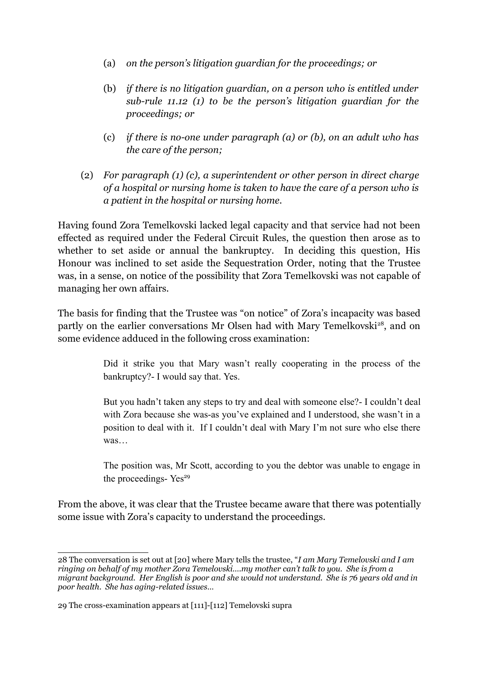- (a) *on the person's litigation guardian for the proceedings; or*
- (b) *if there is no litigation guardian, on a person who is entitled under sub-rule 11.12 (1) to be the person's litigation guardian for the proceedings; or*
- (c) *if there is no-one under paragraph (a) or (b), on an adult who has the care of the person;*
- (2) *For paragraph (1) (c), a superintendent or other person in direct charge of a hospital or nursing home is taken to have the care of a person who is a patient in the hospital or nursing home.*

Having found Zora Temelkovski lacked legal capacity and that service had not been effected as required under the Federal Circuit Rules, the question then arose as to whether to set aside or annual the bankruptcy. In deciding this question, His Honour was inclined to set aside the Sequestration Order, noting that the Trustee was, in a sense, on notice of the possibility that Zora Temelkovski was not capable of managing her own affairs.

The basis for finding that the Trustee was "on notice" of Zora's incapacity was based partly on the earlier conversations Mr Olsen had with Mary Temelkovski<sup>[28](#page-9-0)</sup>, and on some evidence adduced in the following cross examination:

> Did it strike you that Mary wasn't really cooperating in the process of the bankruptcy?- I would say that. Yes.

> But you hadn't taken any steps to try and deal with someone else?- I couldn't deal with Zora because she was-as you've explained and I understood, she wasn't in a position to deal with it. If I couldn't deal with Mary I'm not sure who else there was…

> The position was, Mr Scott, according to you the debtor was unable to engage in the proceedings- $Yes<sup>29</sup>$  $Yes<sup>29</sup>$  $Yes<sup>29</sup>$

From the above, it was clear that the Trustee became aware that there was potentially some issue with Zora's capacity to understand the proceedings.

<span id="page-9-0"></span><sup>28</sup> The conversation is set out at [20] where Mary tells the trustee, "*I am Mary Temelovski and I am ringing on behalf of my mother Zora Temelovski….my mother can't talk to you. She is from a migrant background. Her English is poor and she would not understand. She is 76 years old and in poor health. She has aging-related issues…*

<span id="page-9-1"></span><sup>29</sup> The cross-examination appears at [111]-[112] Temelovski supra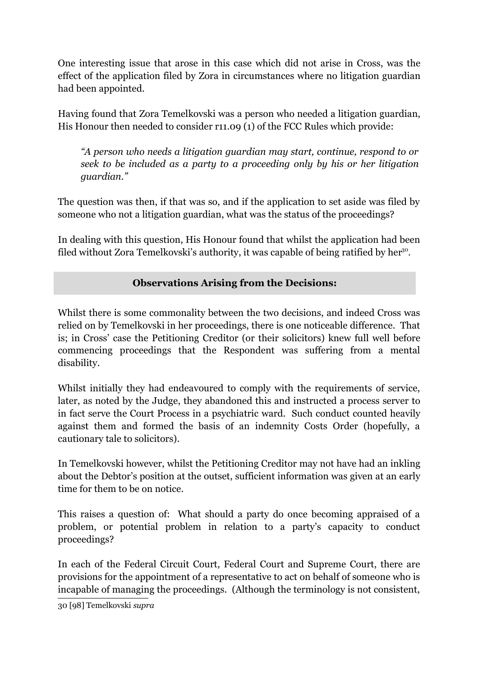One interesting issue that arose in this case which did not arise in Cross, was the effect of the application filed by Zora in circumstances where no litigation guardian had been appointed.

Having found that Zora Temelkovski was a person who needed a litigation guardian, His Honour then needed to consider r11.09 (1) of the FCC Rules which provide:

*"A person who needs a litigation guardian may start, continue, respond to or seek to be included as a party to a proceeding only by his or her litigation guardian."*

The question was then, if that was so, and if the application to set aside was filed by someone who not a litigation guardian, what was the status of the proceedings?

In dealing with this question, His Honour found that whilst the application had been filed without Zora Temelkovski's authority, it was capable of being ratified by her<sup>[30](#page-10-0)</sup>.

# **Observations Arising from the Decisions:**

Whilst there is some commonality between the two decisions, and indeed Cross was relied on by Temelkovski in her proceedings, there is one noticeable difference. That is; in Cross' case the Petitioning Creditor (or their solicitors) knew full well before commencing proceedings that the Respondent was suffering from a mental disability.

Whilst initially they had endeavoured to comply with the requirements of service, later, as noted by the Judge, they abandoned this and instructed a process server to in fact serve the Court Process in a psychiatric ward. Such conduct counted heavily against them and formed the basis of an indemnity Costs Order (hopefully, a cautionary tale to solicitors).

In Temelkovski however, whilst the Petitioning Creditor may not have had an inkling about the Debtor's position at the outset, sufficient information was given at an early time for them to be on notice.

This raises a question of: What should a party do once becoming appraised of a problem, or potential problem in relation to a party's capacity to conduct proceedings?

In each of the Federal Circuit Court, Federal Court and Supreme Court, there are provisions for the appointment of a representative to act on behalf of someone who is incapable of managing the proceedings. (Although the terminology is not consistent,

<span id="page-10-0"></span>30 [98] Temelkovski *supra*